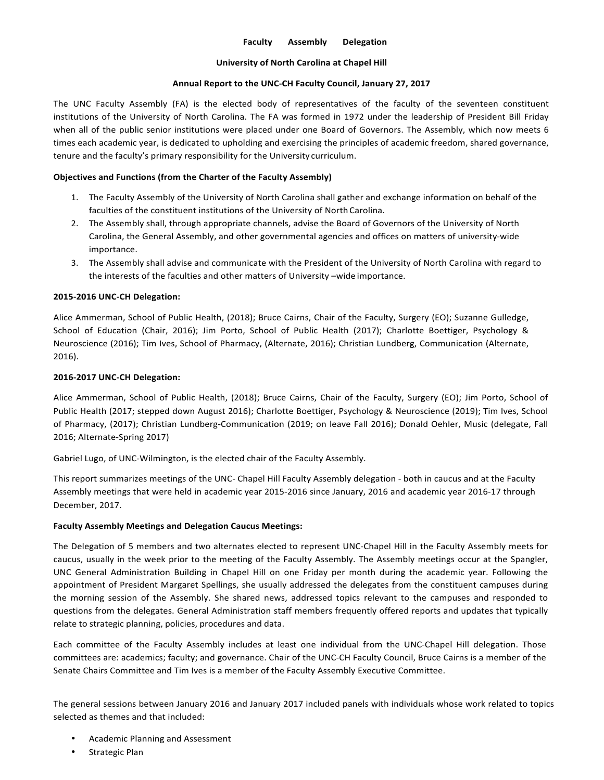# **Faculty Assembly Delegation**

## **University of North Carolina at Chapel Hill**

## Annual Report to the UNC-CH Faculty Council, January 27, 2017

The UNC Faculty Assembly (FA) is the elected body of representatives of the faculty of the seventeen constituent institutions of the University of North Carolina. The FA was formed in 1972 under the leadership of President Bill Friday when all of the public senior institutions were placed under one Board of Governors. The Assembly, which now meets 6 times each academic year, is dedicated to upholding and exercising the principles of academic freedom, shared governance, tenure and the faculty's primary responsibility for the University curriculum.

# **Objectives and Functions (from the Charter of the Faculty Assembly)**

- 1. The Faculty Assembly of the University of North Carolina shall gather and exchange information on behalf of the faculties of the constituent institutions of the University of North Carolina.
- 2. The Assembly shall, through appropriate channels, advise the Board of Governors of the University of North Carolina, the General Assembly, and other governmental agencies and offices on matters of university-wide importance.
- 3. The Assembly shall advise and communicate with the President of the University of North Carolina with regard to the interests of the faculties and other matters of University -wide importance.

## **2015-2016 UNC-CH Delegation:**

Alice Ammerman, School of Public Health, (2018); Bruce Cairns, Chair of the Faculty, Surgery (EO); Suzanne Gulledge, School of Education (Chair, 2016); Jim Porto, School of Public Health (2017); Charlotte Boettiger, Psychology & Neuroscience (2016); Tim Ives, School of Pharmacy, (Alternate, 2016); Christian Lundberg, Communication (Alternate, 2016).

## **2016-2017 UNC-CH Delegation:**

Alice Ammerman, School of Public Health, (2018); Bruce Cairns, Chair of the Faculty, Surgery (EO); Jim Porto, School of Public Health (2017; stepped down August 2016); Charlotte Boettiger, Psychology & Neuroscience (2019); Tim Ives, School of Pharmacy, (2017); Christian Lundberg-Communication (2019; on leave Fall 2016); Donald Oehler, Music (delegate, Fall 2016; Alternate-Spring 2017)

Gabriel Lugo, of UNC-Wilmington, is the elected chair of the Faculty Assembly.

This report summarizes meetings of the UNC- Chapel Hill Faculty Assembly delegation - both in caucus and at the Faculty Assembly meetings that were held in academic year 2015-2016 since January, 2016 and academic year 2016-17 through December, 2017.

#### **Faculty Assembly Meetings and Delegation Caucus Meetings:**

The Delegation of 5 members and two alternates elected to represent UNC-Chapel Hill in the Faculty Assembly meets for caucus, usually in the week prior to the meeting of the Faculty Assembly. The Assembly meetings occur at the Spangler, UNC General Administration Building in Chapel Hill on one Friday per month during the academic year. Following the appointment of President Margaret Spellings, she usually addressed the delegates from the constituent campuses during the morning session of the Assembly. She shared news, addressed topics relevant to the campuses and responded to questions from the delegates. General Administration staff members frequently offered reports and updates that typically relate to strategic planning, policies, procedures and data.

Each committee of the Faculty Assembly includes at least one individual from the UNC-Chapel Hill delegation. Those committees are: academics; faculty; and governance. Chair of the UNC-CH Faculty Council, Bruce Cairns is a member of the Senate Chairs Committee and Tim Ives is a member of the Faculty Assembly Executive Committee.

The general sessions between January 2016 and January 2017 included panels with individuals whose work related to topics selected as themes and that included:

- Academic Planning and Assessment
- Strategic Plan